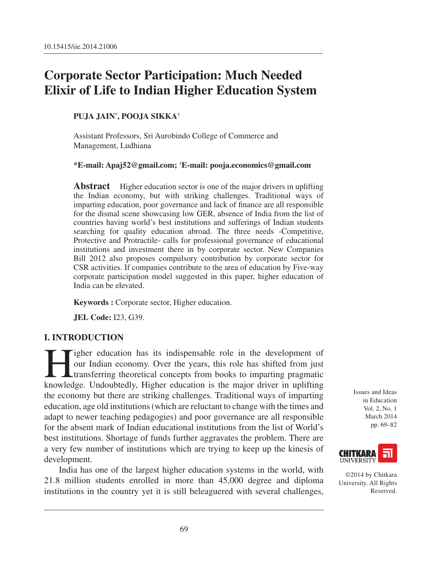# **Corporate Sector Participation: Much Needed Elixir of Life to Indian Higher Education System**

#### **Puja Jain\* , Pooja Sikka†**

Assistant Professors, Sri Aurobindo College of Commerce and Management, Ludhiana

**\*E-mail: Apaj52@gmail.com; † E-mail: pooja.economics@gmail.com**

**Abstract** Higher education sector is one of the major drivers in uplifting the Indian economy, but with striking challenges. Traditional ways of imparting education, poor governance and lack of finance are all responsible for the dismal scene showcasing low GER, absence of India from the list of countries having world's best institutions and sufferings of Indian students searching for quality education abroad. The three needs -Competitive, Protective and Protractile- calls for professional governance of educational institutions and investment there in by corporate sector. New Companies Bill 2012 also proposes compulsory contribution by corporate sector for CSR activities. If companies contribute to the area of education by Five-way corporate participation model suggested in this paper, higher education of India can be elevated.

**Keywords :** Corporate sector, Higher education.

**JEL Code:** I23, G39.

#### **I. Introduction**

I spher education has its indispensable role in the development of<br>our Indian economy. Over the years, this role has shifted from just<br>transferring theoretical concepts from books to imparting pragmatic<br>knowledge. Undoubte our Indian economy. Over the years, this role has shifted from just transferring theoretical concepts from books to imparting pragmatic knowledge. Undoubtedly, Higher education is the major driver in uplifting the economy but there are striking challenges. Traditional ways of imparting education, age old institutions (which are reluctant to change with the times and adapt to newer teaching pedagogies) and poor governance are all responsible for the absent mark of Indian educational institutions from the list of World's best institutions. Shortage of funds further aggravates the problem. There are a very few number of institutions which are trying to keep up the kinesis of development.

India has one of the largest higher education systems in the world, with 21.8 million students enrolled in more than 45,000 degree and diploma institutions in the country yet it is still beleaguered with several challenges, Issues and Ideas in Education Vol. 2, No. 1 March 2014 pp. 69–82



©2014 by Chitkara University. All Rights Reserved.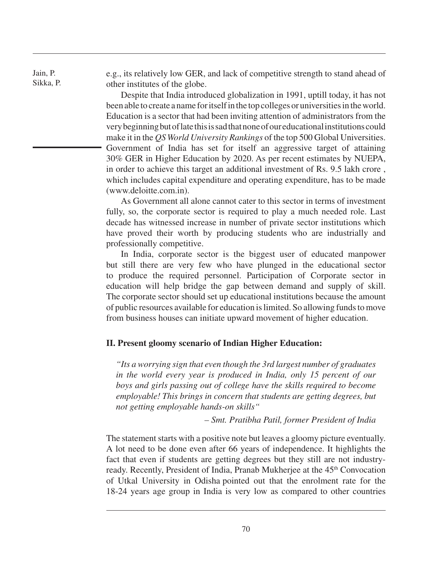Jain, P. Sikka, P. e.g., its relatively low GER, and lack of competitive strength to stand ahead of other institutes of the globe.

Despite that India introduced globalization in 1991, uptill today, it has not been able to create a name for itself in the top colleges or universities in the world. Education is a sector that had been inviting attention of administrators from the very beginning but of late this is sad that none of our educational institutions could make it in the *QS World University Rankings* of the top 500 Global Universities. Government of India has set for itself an aggressive target of attaining 30% GER in Higher Education by 2020. As per recent estimates by NUEPA, in order to achieve this target an additional investment of Rs. 9.5 lakh crore , which includes capital expenditure and operating expenditure, has to be made (www.deloitte.com.in).

As Government all alone cannot cater to this sector in terms of investment fully, so, the corporate sector is required to play a much needed role. Last decade has witnessed increase in number of private sector institutions which have proved their worth by producing students who are industrially and professionally competitive.

In India, corporate sector is the biggest user of educated manpower but still there are very few who have plunged in the educational sector to produce the required personnel. Participation of Corporate sector in education will help bridge the gap between demand and supply of skill. The corporate sector should set up educational institutions because the amount of public resources available for education is limited. So allowing funds to move from business houses can initiate upward movement of higher education.

#### **II. Present gloomy scenario of Indian Higher Education:**

*"Its a worrying sign that even though the 3rd largest number of graduates in the world every year is produced in India, only 15 percent of our boys and girls passing out of college have the skills required to become employable! This brings in concern that students are getting degrees, but not getting employable hands-on skills"*

*– Smt. Pratibha Patil, former President of India*

The statement starts with a positive note but leaves a gloomy picture eventually. A lot need to be done even after 66 years of independence. It highlights the fact that even if students are getting degrees but they still are not industryready. Recently, President of India, Pranab Mukherjee at the 45<sup>th</sup> Convocation of Utkal University in Odisha pointed out that the enrolment rate for the 18-24 years age group in India is very low as compared to other countries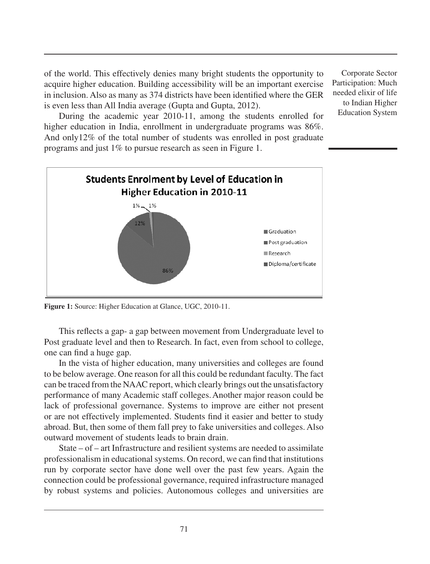of the world. This effectively denies many bright students the opportunity to acquire higher education. Building accessibility will be an important exercise in inclusion. Also as many as 374 districts have been identified where the GER is even less than All India average (Gupta and Gupta, 2012).

Corporate Sector Participation: Much needed elixir of life to Indian Higher Education System

During the academic year 2010-11, among the students enrolled for higher education in India, enrollment in undergraduate programs was 86%. And only12% of the total number of students was enrolled in post graduate programs and just 1% to pursue research as seen in Figure 1.



**Figure 1:** Source: Higher Education at Glance, UGC, 2010-11.

This reflects a gap- a gap between movement from Undergraduate level to Post graduate level and then to Research. In fact, even from school to college, one can find a huge gap.

In the vista of higher education, many universities and colleges are found to be below average. One reason for all this could be redundant faculty. The fact can be traced from the NAAC report, which clearly brings out the unsatisfactory performance of many Academic staff colleges.Another major reason could be lack of professional governance. Systems to improve are either not present or are not effectively implemented. Students find it easier and better to study abroad. But, then some of them fall prey to fake universities and colleges. Also outward movement of students leads to brain drain.

State – of – art Infrastructure and resilient systems are needed to assimilate professionalism in educational systems. On record, we can find that institutions run by corporate sector have done well over the past few years. Again the connection could be professional governance, required infrastructure managed by robust systems and policies. Autonomous colleges and universities are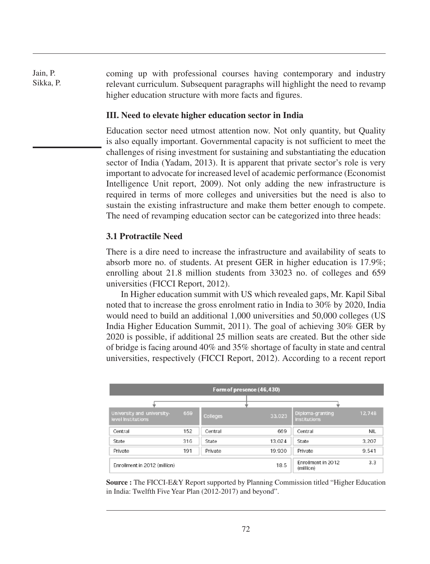Jain, P. Sikka, P. coming up with professional courses having contemporary and industry relevant curriculum. Subsequent paragraphs will highlight the need to revamp higher education structure with more facts and figures.

#### **III. Need to elevate higher education sector in India**

Education sector need utmost attention now. Not only quantity, but Quality is also equally important. Governmental capacity is not sufficient to meet the challenges of rising investment for sustaining and substantiating the education sector of India (Yadam, 2013). It is apparent that private sector's role is very important to advocate for increased level of academic performance (Economist Intelligence Unit report, 2009). Not only adding the new infrastructure is required in terms of more colleges and universities but the need is also to sustain the existing infrastructure and make them better enough to compete. The need of revamping education sector can be categorized into three heads:

#### **3.1 Protractile Need**

There is a dire need to increase the infrastructure and availability of seats to absorb more no. of students. At present GER in higher education is 17.9%; enrolling about 21.8 million students from 33023 no. of colleges and 659 universities (FICCI Report, 2012).

In Higher education summit with US which revealed gaps, Mr. Kapil Sibal noted that to increase the gross enrolment ratio in India to 30% by 2020, India would need to build an additional 1,000 universities and 50,000 colleges (US India Higher Education Summit, 2011). The goal of achieving 30% GER by 2020 is possible, if additional 25 million seats are created. But the other side of bridge is facing around 40% and 35% shortage of faculty in state and central universities, respectively (FICCI Report, 2012). According to a recent report

| Form of presence (46,430)                        |     |                 |        |                                         |            |  |
|--------------------------------------------------|-----|-----------------|--------|-----------------------------------------|------------|--|
|                                                  |     |                 |        |                                         |            |  |
| University and university-<br>level Institutions | 659 | <b>Colleges</b> | 33,023 | Diploma-granting<br><b>institutions</b> | 12,748     |  |
| Central                                          | 152 | Central         | 669    | Central                                 | <b>NIL</b> |  |
| State                                            | 316 | State           | 13,024 | State                                   | 3,207      |  |
| Private                                          | 191 | Private         | 19,930 | Private                                 | 9,541      |  |
| Enrollment in 2012 (million)                     |     |                 | 18.5   | Enrollment in 2012<br>(million)         | 3.3        |  |

**Source :** The FICCI-E&Y Report supported by Planning Commission titled "Higher Education in India: Twelfth Five Year Plan (2012-2017) and beyond".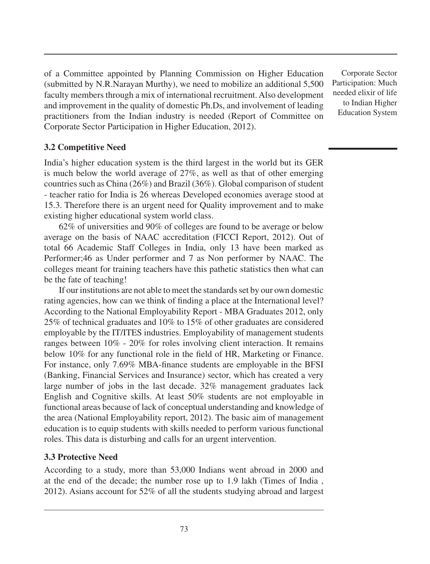of a Committee appointed by Planning Commission on Higher Education (submitted by N.R.Narayan Murthy), we need to mobilize an additional 5,500 faculty members through a mix of international recruitment. Also development and improvement in the quality of domestic Ph.Ds, and involvement of leading practitioners from the Indian industry is needed (Report of Committee on Corporate Sector Participation in Higher Education, 2012).

## **3.2 Competitive Need**

India's higher education system is the third largest in the world but its GER is much below the world average of 27%, as well as that of other emerging countries such as China (26%) and Brazil (36%). Global comparison of student - teacher ratio for India is 26 whereas Developed economies average stood at 15.3. Therefore there is an urgent need for Quality improvement and to make existing higher educational system world class.

62% of universities and 90% of colleges are found to be average or below average on the basis of NAAC accreditation (FICCI Report, 2012). Out of total 66 Academic Staff Colleges in India, only 13 have been marked as Performer;46 as Under performer and 7 as Non performer by NAAC. The colleges meant for training teachers have this pathetic statistics then what can be the fate of teaching!

If our institutions are not able to meet the standards set by our own domestic rating agencies, how can we think of finding a place at the International level? According to the National Employability Report - MBA Graduates 2012, only 25% of technical graduates and 10% to 15% of other graduates are considered employable by the IT/ITES industries. Employability of management students ranges between 10% - 20% for roles involving client interaction. It remains below 10% for any functional role in the field of HR, Marketing or Finance. For instance, only 7.69% MBA-finance students are employable in the BFSI (Banking, Financial Services and Insurance) sector, which has created a very large number of jobs in the last decade. 32% management graduates lack English and Cognitive skills. At least 50% students are not employable in functional areas because of lack of conceptual understanding and knowledge of the area (National Employability report, 2012). The basic aim of management education is to equip students with skills needed to perform various functional roles. This data is disturbing and calls for an urgent intervention.

### **3.3 Protective Need**

According to a study, more than 53,000 Indians went abroad in 2000 and at the end of the decade; the number rose up to 1.9 lakh (Times of India , 2012). Asians account for 52% of all the students studying abroad and largest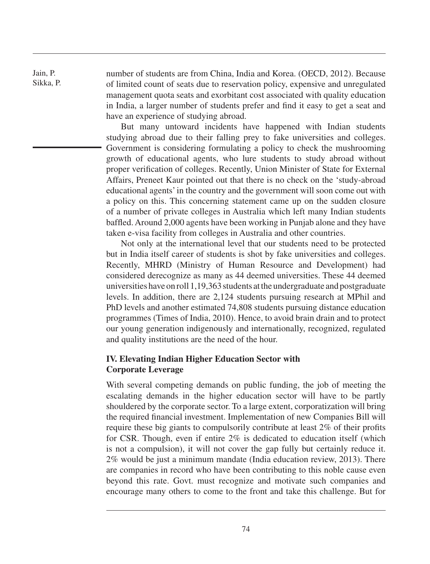Jain, P. Sikka, P. number of students are from China, India and Korea. (OECD, 2012). Because of limited count of seats due to reservation policy, expensive and unregulated management quota seats and exorbitant cost associated with quality education in India, a larger number of students prefer and find it easy to get a seat and have an experience of studying abroad.

But many untoward incidents have happened with Indian students studying abroad due to their falling prey to fake universities and colleges. Government is considering formulating a policy to check the mushrooming growth of educational agents, who lure students to study abroad without proper verification of colleges. Recently, Union Minister of State for External Affairs, Preneet Kaur pointed out that there is no check on the 'study-abroad educational agents' in the country and the government will soon come out with a policy on this. This concerning statement came up on the sudden closure of a number of private colleges in Australia which left many Indian students baffled. Around 2,000 agents have been working in Punjab alone and they have taken e-visa facility from colleges in Australia and other countries.

Not only at the international level that our students need to be protected but in India itself career of students is shot by fake universities and colleges. Recently, MHRD (Ministry of Human Resource and Development) had considered derecognize as many as 44 deemed universities. These 44 deemed universities have on roll 1,19,363 students at the undergraduate and postgraduate levels. In addition, there are 2,124 students pursuing research at MPhil and PhD levels and another estimated 74,808 students pursuing distance education programmes (Times of India, 2010). Hence, to avoid brain drain and to protect our young generation indigenously and internationally, recognized, regulated and quality institutions are the need of the hour.

### **IV. Elevating Indian Higher Education Sector with Corporate Leverage**

With several competing demands on public funding, the job of meeting the escalating demands in the higher education sector will have to be partly shouldered by the corporate sector. To a large extent, corporatization will bring the required financial investment. Implementation of new Companies Bill will require these big giants to compulsorily contribute at least 2% of their profits for CSR. Though, even if entire 2% is dedicated to education itself (which is not a compulsion), it will not cover the gap fully but certainly reduce it. 2% would be just a minimum mandate (India education review, 2013). There are companies in record who have been contributing to this noble cause even beyond this rate. Govt. must recognize and motivate such companies and encourage many others to come to the front and take this challenge. But for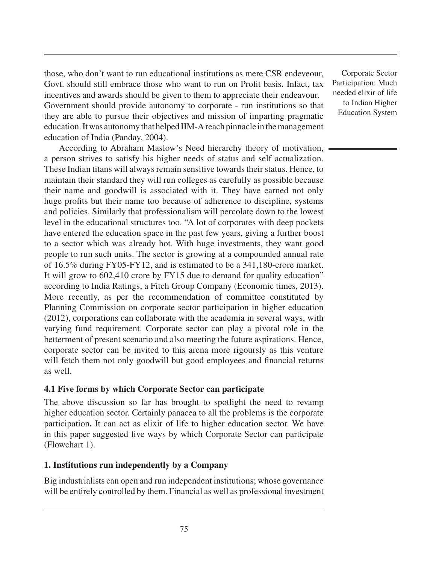those, who don't want to run educational institutions as mere CSR endeveour, Govt. should still embrace those who want to run on Profit basis. Infact, tax incentives and awards should be given to them to appreciate their endeavour. Government should provide autonomy to corporate - run institutions so that they are able to pursue their objectives and mission of imparting pragmatic education. It was autonomy that helped IIM-A reach pinnacle in the management education of India (Panday, 2004).

According to Abraham Maslow's Need hierarchy theory of motivation, a person strives to satisfy his higher needs of status and self actualization. These Indian titans will always remain sensitive towards their status. Hence, to maintain their standard they will run colleges as carefully as possible because their name and goodwill is associated with it. They have earned not only huge profits but their name too because of adherence to discipline, systems and policies. Similarly that professionalism will percolate down to the lowest level in the educational structures too. "A lot of corporates with deep pockets have entered the education space in the past few years, giving a further boost to a sector which was already hot. With huge investments, they want good people to run such units. The sector is growing at a compounded annual rate of 16.5% during FY05-FY12, and is estimated to be a 341,180-crore market. It will grow to 602,410 crore by FY15 due to demand for quality education" according to India Ratings, a Fitch Group Company (Economic times, 2013). More recently, as per the recommendation of committee constituted by Planning Commission on corporate sector participation in higher education (2012), corporations can collaborate with the academia in several ways, with varying fund requirement. Corporate sector can play a pivotal role in the betterment of present scenario and also meeting the future aspirations. Hence, corporate sector can be invited to this arena more rigoursly as this venture will fetch them not only goodwill but good employees and financial returns as well.

### **4.1 Five forms by which Corporate Sector can participate**

The above discussion so far has brought to spotlight the need to revamp higher education sector. Certainly panacea to all the problems is the corporate participation**.** It can act as elixir of life to higher education sector. We have in this paper suggested five ways by which Corporate Sector can participate (Flowchart 1).

### **1. Institutions run independently by a Company**

Big industrialists can open and run independent institutions; whose governance will be entirely controlled by them. Financial as well as professional investment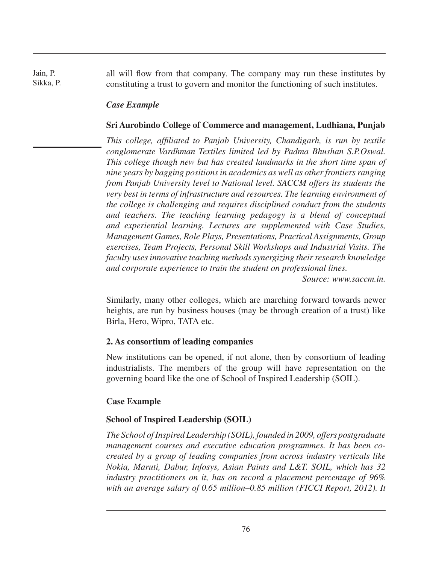Jain, P. Sikka, P. all will flow from that company. The company may run these institutes by constituting a trust to govern and monitor the functioning of such institutes.

### *Case Example*

#### **Sri Aurobindo College of Commerce and management, Ludhiana, Punjab**

*This college, affiliated to Panjab University, Chandigarh, is run by textile conglomerate Vardhman Textiles limited led by Padma Bhushan S.P.Oswal. This college though new but has created landmarks in the short time span of nine years by bagging positions in academics as well as other frontiers ranging from Panjab University level to National level. SACCM offers its students the very best in terms of infrastructure and resources. The learning environment of the college is challenging and requires disciplined conduct from the students and teachers. The teaching learning pedagogy is a blend of conceptual and experiential learning. Lectures are supplemented with Case Studies, Management Games, Role Plays, Presentations, Practical Assignments, Group exercises, Team Projects, Personal Skill Workshops and Industrial Visits. The faculty uses innovative teaching methods synergizing their research knowledge and corporate experience to train the student on professional lines.*

*Source: www.saccm.in.*

Similarly, many other colleges, which are marching forward towards newer heights, are run by business houses (may be through creation of a trust) like Birla, Hero, Wipro, TATA etc.

#### **2. As consortium of leading companies**

New institutions can be opened, if not alone, then by consortium of leading industrialists. The members of the group will have representation on the governing board like the one of School of Inspired Leadership (SOIL).

#### **Case Example**

### **School of Inspired Leadership (SOIL)**

*The School of Inspired Leadership (SOIL), founded in 2009, offers postgraduate management courses and executive education programmes. It has been cocreated by a group of leading companies from across industry verticals like Nokia, Maruti, Dabur, Infosys, Asian Paints and L&T. SOIL, which has 32 industry practitioners on it, has on record a placement percentage of 96% with an average salary of 0.65 million–0.85 million (FICCI Report, 2012). It*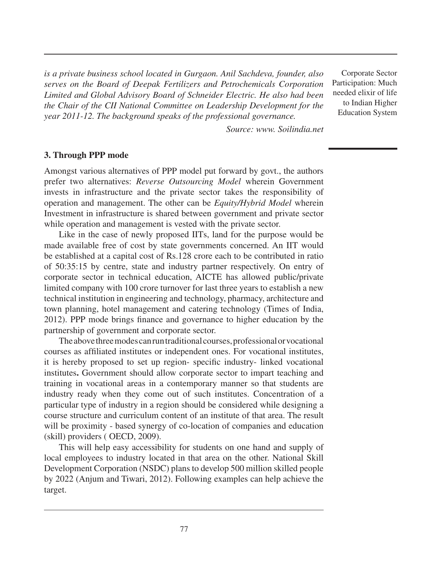*is a private business school located in Gurgaon. Anil Sachdeva, founder, also serves on the Board of Deepak Fertilizers and Petrochemicals Corporation Limited and Global Advisory Board of Schneider Electric. He also had been the Chair of the CII National Committee on Leadership Development for the year 2011-12. The background speaks of the professional governance.*

Corporate Sector Participation: Much needed elixir of life to Indian Higher Education System

*Source: www. Soilindia.net*

#### **3. Through PPP mode**

Amongst various alternatives of PPP model put forward by govt., the authors prefer two alternatives: *Reverse Outsourcing Model* wherein Government invests in infrastructure and the private sector takes the responsibility of operation and management. The other can be *Equity/Hybrid Model* wherein Investment in infrastructure is shared between government and private sector while operation and management is vested with the private sector.

Like in the case of newly proposed IITs, land for the purpose would be made available free of cost by state governments concerned. An IIT would be established at a capital cost of Rs.128 crore each to be contributed in ratio of 50:35:15 by centre, state and industry partner respectively. On entry of corporate sector in technical education, AICTE has allowed public/private limited company with 100 crore turnover for last three years to establish a new technical institution in engineering and technology, pharmacy, architecture and town planning, hotel management and catering technology (Times of India, 2012). PPP mode brings finance and governance to higher education by the partnership of government and corporate sector.

The above three modes can run traditional courses, professional or vocational courses as affiliated institutes or independent ones. For vocational institutes, it is hereby proposed to set up region- specific industry- linked vocational institutes**.** Government should allow corporate sector to impart teaching and training in vocational areas in a contemporary manner so that students are industry ready when they come out of such institutes. Concentration of a particular type of industry in a region should be considered while designing a course structure and curriculum content of an institute of that area. The result will be proximity - based synergy of co-location of companies and education (skill) providers ( OECD, 2009).

This will help easy accessibility for students on one hand and supply of local employees to industry located in that area on the other. National Skill Development Corporation (NSDC) plans to develop 500 million skilled people by 2022 (Anjum and Tiwari, 2012). Following examples can help achieve the target.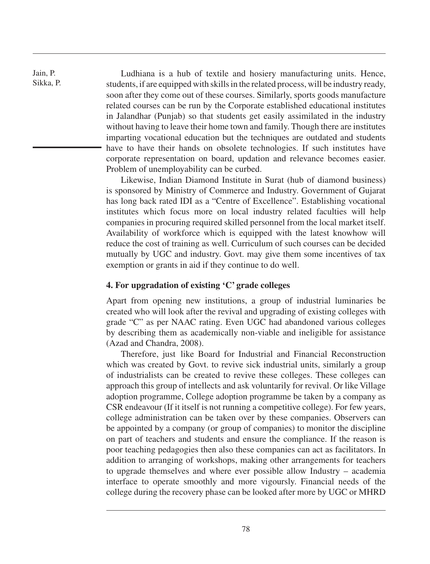Ludhiana is a hub of textile and hosiery manufacturing units. Hence, students, if are equipped with skills in the related process, will be industry ready, soon after they come out of these courses. Similarly, sports goods manufacture related courses can be run by the Corporate established educational institutes in Jalandhar (Punjab) so that students get easily assimilated in the industry without having to leave their home town and family. Though there are institutes imparting vocational education but the techniques are outdated and students have to have their hands on obsolete technologies. If such institutes have corporate representation on board, updation and relevance becomes easier. Problem of unemployability can be curbed.

Likewise, Indian Diamond Institute in Surat (hub of diamond business) is sponsored by Ministry of Commerce and Industry. Government of Gujarat has long back rated IDI as a "Centre of Excellence". Establishing vocational institutes which focus more on local industry related faculties will help companies in procuring required skilled personnel from the local market itself. Availability of workforce which is equipped with the latest knowhow will reduce the cost of training as well. Curriculum of such courses can be decided mutually by UGC and industry. Govt. may give them some incentives of tax exemption or grants in aid if they continue to do well.

#### **4. For upgradation of existing 'C' grade colleges**

Apart from opening new institutions, a group of industrial luminaries be created who will look after the revival and upgrading of existing colleges with grade "C" as per NAAC rating. Even UGC had abandoned various colleges by describing them as academically non-viable and ineligible for assistance (Azad and Chandra, 2008).

Therefore, just like Board for Industrial and Financial Reconstruction which was created by Govt. to revive sick industrial units, similarly a group of industrialists can be created to revive these colleges. These colleges can approach this group of intellects and ask voluntarily for revival. Or like Village adoption programme, College adoption programme be taken by a company as CSR endeavour (If it itself is not running a competitive college). For few years, college administration can be taken over by these companies. Observers can be appointed by a company (or group of companies) to monitor the discipline on part of teachers and students and ensure the compliance. If the reason is poor teaching pedagogies then also these companies can act as facilitators. In addition to arranging of workshops, making other arrangements for teachers to upgrade themselves and where ever possible allow Industry – academia interface to operate smoothly and more vigoursly. Financial needs of the college during the recovery phase can be looked after more by UGC or MHRD

Jain, P. Sikka, P.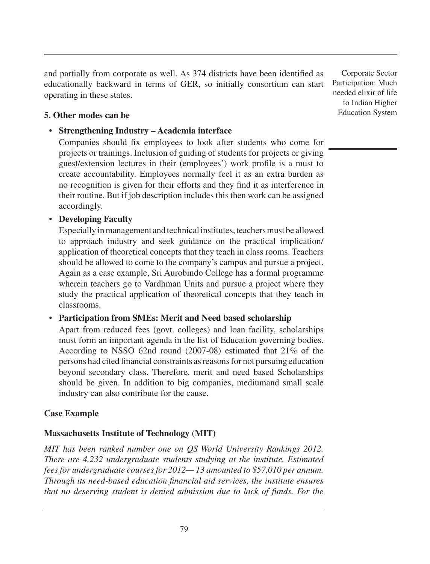and partially from corporate as well. As 374 districts have been identified as educationally backward in terms of GER, so initially consortium can start operating in these states.

### **5. Other modes can be**

### • **Strengthening Industry – Academia interface**

Companies should fix employees to look after students who come for projects or trainings. Inclusion of guiding of students for projects or giving guest/extension lectures in their (employees') work profile is a must to create accountability. Employees normally feel it as an extra burden as no recognition is given for their efforts and they find it as interference in their routine. But if job description includes this then work can be assigned accordingly.

### • **Developing Faculty**

Especially in management and technical institutes, teachers must be allowed to approach industry and seek guidance on the practical implication/ application of theoretical concepts that they teach in class rooms. Teachers should be allowed to come to the company's campus and pursue a project. Again as a case example, Sri Aurobindo College has a formal programme wherein teachers go to Vardhman Units and pursue a project where they study the practical application of theoretical concepts that they teach in classrooms.

### • **Participation from SMEs: Merit and Need based scholarship**

Apart from reduced fees (govt. colleges) and loan facility, scholarships must form an important agenda in the list of Education governing bodies. According to NSSO 62nd round (2007-08) estimated that 21% of the persons had cited financial constraints as reasons for not pursuing education beyond secondary class. Therefore, merit and need based Scholarships should be given. In addition to big companies, mediumand small scale industry can also contribute for the cause.

### **Case Example**

### **Massachusetts Institute of Technology (MIT)**

*MIT has been ranked number one on QS World University Rankings 2012. There are 4,232 undergraduate students studying at the institute. Estimated fees for undergraduate courses for 2012— 13 amounted to \$57,010 per annum. Through its need-based education financial aid services, the institute ensures that no deserving student is denied admission due to lack of funds. For the*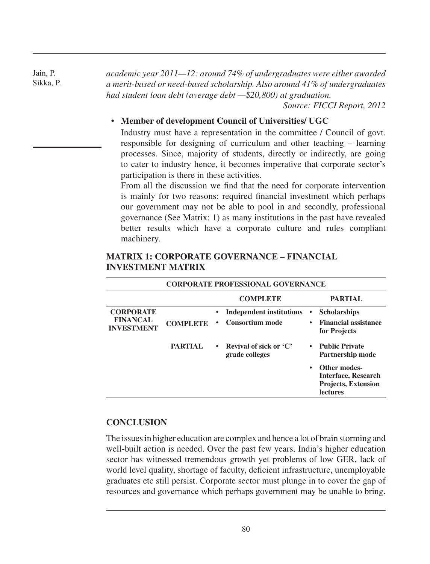Jain, P. Sikka, P. *academic year 2011—12: around 74% of undergraduates were either awarded a merit-based or need-based scholarship. Also around 41% of undergraduates had student loan debt (average debt —\$20,800) at graduation.*

*Source: FICCI Report, 2012*

**lectures**

#### • **Member of development Council of Universities/ UGC**

Industry must have a representation in the committee / Council of govt. responsible for designing of curriculum and other teaching – learning processes. Since, majority of students, directly or indirectly, are going to cater to industry hence, it becomes imperative that corporate sector's participation is there in these activities.

From all the discussion we find that the need for corporate intervention is mainly for two reasons: required financial investment which perhaps our government may not be able to pool in and secondly, professional governance (See Matrix: 1) as many institutions in the past have revealed better results which have a corporate culture and rules compliant machinery.

#### **CORPORATE PROFESSIONAL GOVERNANCE COMPLETE PARTIAL CORPORATE FINANCAL INVESTMENT COMPLETE • Independent institutions • Consortium mode • Scholarships • Financial assistance for Projects PARTIAL • Revival of sick or 'C' grade colleges • Public Private Partnership mode • Other modes-Interface, Research Projects, Extension**

### **MATRIX 1: CORPORATE GOVERNANCE – FINANCIAL INVESTMENT MATRIX**

### **CONCLUSION**

The issues in higher education are complex and hence a lot of brain storming and well-built action is needed. Over the past few years, India's higher education sector has witnessed tremendous growth yet problems of low GER, lack of world level quality, shortage of faculty, deficient infrastructure, unemployable graduates etc still persist. Corporate sector must plunge in to cover the gap of resources and governance which perhaps government may be unable to bring.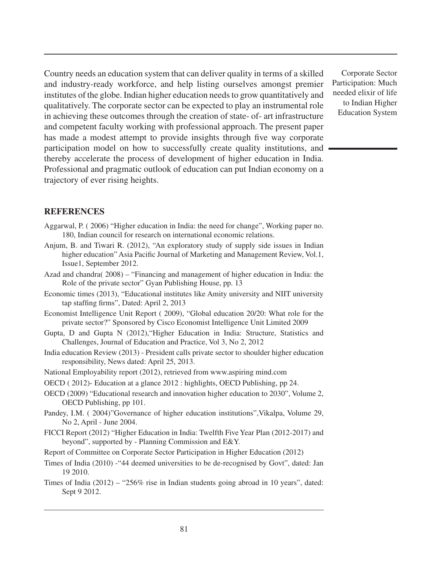Country needs an education system that can deliver quality in terms of a skilled and industry-ready workforce, and help listing ourselves amongst premier institutes of the globe. Indian higher education needs to grow quantitatively and qualitatively. The corporate sector can be expected to play an instrumental role in achieving these outcomes through the creation of state- of- art infrastructure and competent faculty working with professional approach. The present paper has made a modest attempt to provide insights through five way corporate participation model on how to successfully create quality institutions, and thereby accelerate the process of development of higher education in India. Professional and pragmatic outlook of education can put Indian economy on a trajectory of ever rising heights.

#### **References**

- Aggarwal, P. ( 2006) "Higher education in India: the need for change", Working paper no. 180, Indian council for research on international economic relations.
- Anjum, B. and Tiwari R. (2012), "An exploratory study of supply side issues in Indian higher education" Asia Pacific Journal of Marketing and Management Review, Vol.1, Issue1, September 2012.
- Azad and chandra( 2008) "Financing and management of higher education in India: the Role of the private sector" Gyan Publishing House, pp. 13
- Economic times (2013), "Educational institutes like Amity university and NIIT university tap staffing firms", Dated: April 2, 2013
- Economist Intelligence Unit Report ( 2009), "Global education 20/20: What role for the private sector?" Sponsored by Cisco Economist Intelligence Unit Limited 2009
- Gupta, D and Gupta N (2012),"Higher Education in India: Structure, Statistics and Challenges, Journal of Education and Practice, Vol 3, No 2, 2012
- India education Review (2013) President calls private sector to shoulder higher education responsibility, News dated: April 25, 2013.
- National Employability report (2012), retrieved from www.aspiring mind.com
- OECD ( 2012)- Education at a glance 2012 : highlights, OECD Publishing, pp 24.
- OECD (2009) "Educational research and innovation higher education to 2030", Volume 2, OECD Publishing, pp 101.
- Pandey, I.M. ( 2004)"Governance of higher education institutions",Vikalpa, Volume 29, No 2, April - June 2004.
- FICCI Report (2012) "Higher Education in India: Twelfth Five Year Plan (2012-2017) and beyond", supported by - Planning Commission and E&Y.
- Report of Committee on Corporate Sector Participation in Higher Education (2012)
- Times of India (2010) -"44 deemed universities to be de-recognised by Govt", dated: Jan 19 2010.
- Times of India  $(2012) 256\%$  rise in Indian students going abroad in 10 years", dated: Sept 9 2012.